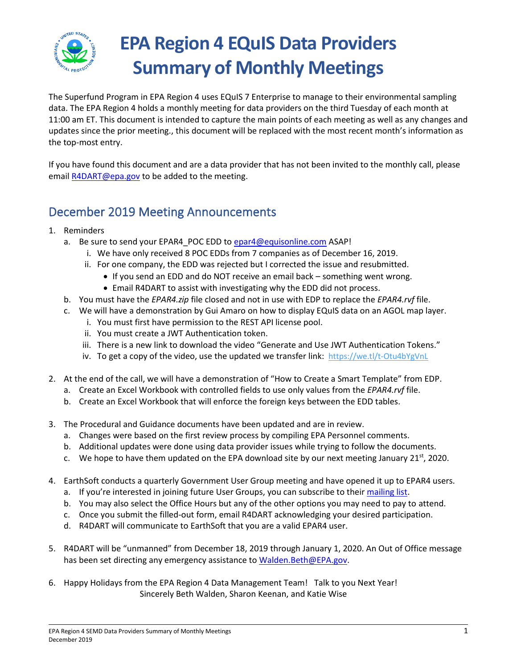

# **EPA Region 4 EQuIS Data Providers Summary of Monthly Meetings**

The Superfund Program in EPA Region 4 uses EQuIS 7 Enterprise to manage to their environmental sampling data. The EPA Region 4 holds a monthly meeting for data providers on the third Tuesday of each month at 11:00 am ET. This document is intended to capture the main points of each meeting as well as any changes and updates since the prior meeting., this document will be replaced with the most recent month's information as the top-most entry.

If you have found this document and are a data provider that has not been invited to the monthly call, please emai[l R4DART@epa.gov](mailto:R4DART@epa.gov) to be added to the meeting.

# December 2019 Meeting Announcements

- 1. Reminders
	- a. Be sure to send your EPAR4 POC EDD to [epar4@equisonline.com](mailto:epar4@equisonline.com) ASAP!
		- i. We have only received 8 POC EDDs from 7 companies as of December 16, 2019.
		- ii. For one company, the EDD was rejected but I corrected the issue and resubmitted.
			- If you send an EDD and do NOT receive an email back something went wrong.
			- Email R4DART to assist with investigating why the EDD did not process.
	- b. You must have the *EPAR4.zip* file closed and not in use with EDP to replace the *EPAR4.rvf* file.
	- c. We will have a demonstration by Gui Amaro on how to display EQuIS data on an AGOL map layer.
		- i. You must first have permission to the REST API license pool.
		- ii. You must create a JWT Authentication token.
		- iii. There is a new link to download the video "Generate and Use JWT Authentication Tokens."
		- iv. To get a copy of the video, use the updated we transfer link: <https://we.tl/t-Otu4bYgVnL>
- 2. At the end of the call, we will have a demonstration of "How to Create a Smart Template" from EDP.
	- a. Create an Excel Workbook with controlled fields to use only values from the *EPAR4.rvf* file.
	- b. Create an Excel Workbook that will enforce the foreign keys between the EDD tables.
- 3. The Procedural and Guidance documents have been updated and are in review.
	- a. Changes were based on the first review process by compiling EPA Personnel comments.
	- b. Additional updates were done using data provider issues while trying to follow the documents.
	- c. We hope to have them updated on the EPA download site by our next meeting January 21st, 2020.
- 4. EarthSoft conducts a quarterly Government User Group meeting and have opened it up to EPAR4 users.
	- a. If you're interested in joining future User Groups, you can subscribe to thei[r mailing list.](https://earthsoft.us16.list-manage.com/subscribe?u=37901ea741202322d02ccc80b&id=59ed809b70)
	- b. You may also select the Office Hours but any of the other options you may need to pay to attend.
	- c. Once you submit the filled-out form, email R4DART acknowledging your desired participation.
	- d. R4DART will communicate to EarthSoft that you are a valid EPAR4 user.
- 5. R4DART will be "unmanned" from December 18, 2019 through January 1, 2020. An Out of Office message has been set directing any emergency assistance to [Walden.Beth@EPA.gov.](mailto:Walden.Beth@EPA.gov)
- 6. Happy Holidays from the EPA Region 4 Data Management Team! Talk to you Next Year! Sincerely Beth Walden, Sharon Keenan, and Katie Wise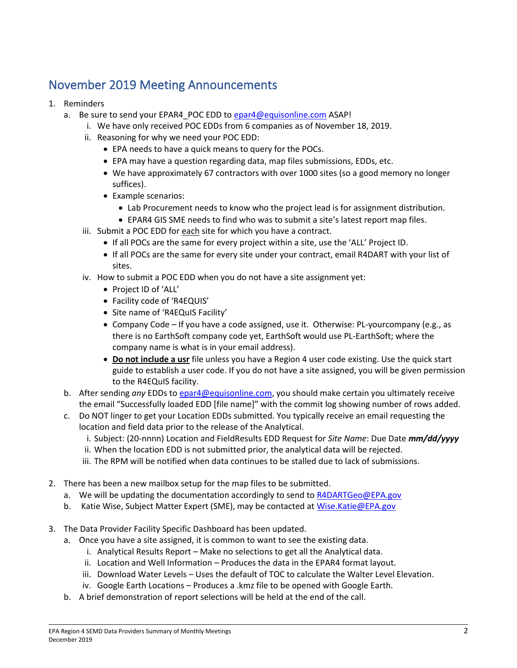# November 2019 Meeting Announcements

#### 1. Reminders

- a. Be sure to send your EPAR4 POC EDD to [epar4@equisonline.com](mailto:epar4@equisonline.com) ASAP!
	- i. We have only received POC EDDs from 6 companies as of November 18, 2019.
	- ii. Reasoning for why we need your POC EDD:
		- EPA needs to have a quick means to query for the POCs.
		- EPA may have a question regarding data, map files submissions, EDDs, etc.
		- We have approximately 67 contractors with over 1000 sites (so a good memory no longer suffices).
		- Example scenarios:
			- Lab Procurement needs to know who the project lead is for assignment distribution.
			- EPAR4 GIS SME needs to find who was to submit a site's latest report map files.
	- iii. Submit a POC EDD for each site for which you have a contract.
		- If all POCs are the same for every project within a site, use the 'ALL' Project ID.
		- If all POCs are the same for every site under your contract, email R4DART with your list of sites.
	- iv. How to submit a POC EDD when you do not have a site assignment yet:
		- Project ID of 'ALL'
		- Facility code of 'R4EQUIS'
		- Site name of 'R4EQuIS Facility'
		- Company Code If you have a code assigned, use it. Otherwise: PL-yourcompany (e.g., as there is no EarthSoft company code yet, EarthSoft would use PL-EarthSoft; where the company name is what is in your email address).
		- **Do not include a usr** file unless you have a Region 4 user code existing. Use the quick start guide to establish a user code. If you do not have a site assigned, you will be given permission to the R4EQuIS facility.
- b. After sending *any* EDDs t[o epar4@equisonline.com,](mailto:epar4@equisonline.com) you should make certain you ultimately receive the email "Successfully loaded EDD [file name]" with the commit log showing number of rows added.
- c. Do NOT linger to get your Location EDDs submitted. You typically receive an email requesting the location and field data prior to the release of the Analytical.
	- i. Subject: (20-nnnn) Location and FieldResults EDD Request for *Site Name*: Due Date *mm/dd/yyyy*
	- ii. When the location EDD is not submitted prior, the analytical data will be rejected.
	- iii. The RPM will be notified when data continues to be stalled due to lack of submissions.
- 2. There has been a new mailbox setup for the map files to be submitted.
	- a. We will be updating the documentation accordingly to send to [R4DARTGeo@EPA.gov](mailto:R4DARTGeo@EPA.gov)
	- b. Katie Wise, Subject Matter Expert (SME), may be contacted at [Wise.Katie@EPA.gov](mailto:Wise.Katie@EPA.gov)
- 3. The Data Provider Facility Specific Dashboard has been updated.
	- a. Once you have a site assigned, it is common to want to see the existing data.
		- i. Analytical Results Report Make no selections to get all the Analytical data.
		- ii. Location and Well Information Produces the data in the EPAR4 format layout.
		- iii. Download Water Levels Uses the default of TOC to calculate the Walter Level Elevation.
		- iv. Google Earth Locations Produces a .kmz file to be opened with Google Earth.
	- b. A brief demonstration of report selections will be held at the end of the call.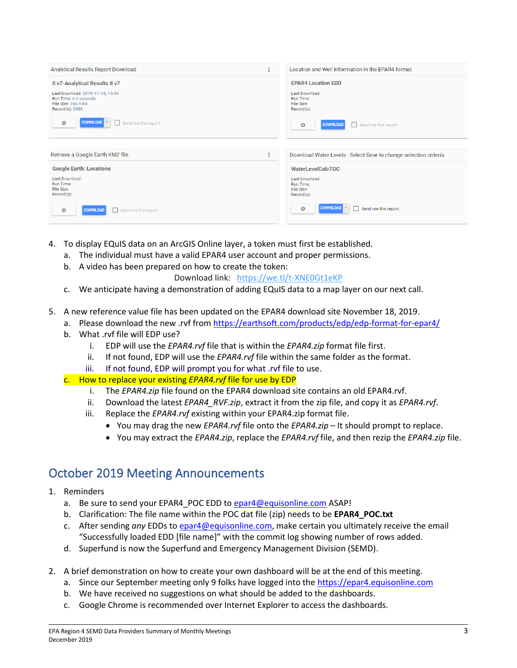| Analytical Results Report Download<br>÷                                                             | Location and Well Information In the EPAR4 format                |
|-----------------------------------------------------------------------------------------------------|------------------------------------------------------------------|
| 0 v7-Analytical Results II v7                                                                       | <b>EPAR4 Location EDD</b>                                        |
| Last Download: 2019-11-18, 13:46<br>Run Time: 0.4 seconds<br>File Size: 766.9 KB<br>Record(s): 2386 | Last Download:<br>Run Time:<br>File Size:<br>$Record(s)$ :       |
| DOWNLOAD<br>章<br>Send me this report                                                                | 登<br><b>DOWNLOAD</b><br>Send me this report<br>n.                |
|                                                                                                     |                                                                  |
| Retrieve a Google Earth KMZ file<br>÷                                                               | Download Water Levels - Select Gear to change selection criteria |
| <b>Google Earth: Locations</b>                                                                      | <b>WaterLevelCalcTOC</b>                                         |
| Last Download:<br><b>Run Time:</b><br>File Size:<br>$Record(s)$ :                                   | Last Download:<br>Run Time:<br>File Size:<br>$Record(s)$ :       |
| <b>DOWNLOAD</b><br>Send me this report<br>章<br>п                                                    | <b>DOWNLOAD</b><br>登<br>Send me this report                      |

- 4. To display EQuIS data on an ArcGIS Online layer, a token must first be established.
	- a. The individual must have a valid EPAR4 user account and proper permissions.
	- b. A video has been prepared on how to create the token:
		- Download link: <https://we.tl/t-XNE0Gt1eKP>
	- c. We anticipate having a demonstration of adding EQuIS data to a map layer on our next call.
- 5. A new reference value file has been updated on the EPAR4 download site November 18, 2019.
	- a. Please download the new .rvf fro[m https://earthsoft.com/products/edp/edp-format-for-epar4/](https://earthsoft.com/products/edp/edp-format-for-epar4/)
	- b. What .rvf file will EDP use?
		- i. EDP will use the *EPAR4.rvf* file that is within the *EPAR4.zip* format file first.
		- ii. If not found, EDP will use the *EPAR4.rvf* file within the same folder as the format.
		- iii. If not found, EDP will prompt you for what .rvf file to use.
	- c. How to replace your existing *EPAR4.rvf* file for use by EDP
		- i. The *EPAR4.zip* file found on the EPAR4 download site contains an old EPAR4.rvf.
		- ii. Download the latest *EPAR4\_RVF.zip*, extract it from the zip file, and copy it as *EPAR4.rvf*.
		- iii. Replace the *EPAR4.rvf* existing within your EPAR4.zip format file.
			- You may drag the new *EPAR4.rvf* file onto the *EPAR4.zip* It should prompt to replace.
			- You may extract the *EPAR4.zip*, replace the *EPAR4.rvf* file, and then rezip the *EPAR4.zip* file.

## October 2019 Meeting Announcements

- 1. Reminders
	- a. Be sure to send your EPAR4 POC EDD to [epar4@equisonline.com](mailto:epar4@equisonline.com) ASAP!
	- b. Clarification: The file name within the POC dat file (zip) needs to be **EPAR4\_POC.txt**
	- c. After sending *any* EDDs t[o epar4@equisonline.com,](mailto:epar4@equisonline.com) make certain you ultimately receive the email "Successfully loaded EDD [file name]" with the commit log showing number of rows added.
	- d. Superfund is now the Superfund and Emergency Management Division (SEMD).
- 2. A brief demonstration on how to create your own dashboard will be at the end of this meeting.
	- a. Since our September meeting only 9 folks have logged into the [https://epar4.equisonline.com](https://epar4.equisonline.com/)
	- b. We have received no suggestions on what should be added to the dashboards.
	- c. Google Chrome is recommended over Internet Explorer to access the dashboards.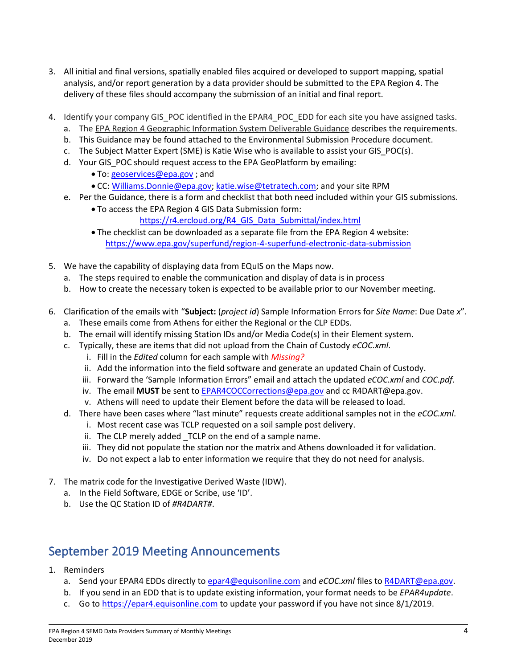- 3. All initial and final versions, spatially enabled files acquired or developed to support mapping, spatial analysis, and/or report generation by a data provider should be submitted to the EPA Region 4. The delivery of these files should accompany the submission of an initial and final report.
- 4. Identify your company GIS POC identified in the EPAR4 POC EDD for each site you have assigned tasks.
	- a. The EPA Region 4 Geographic Information System Deliverable Guidance describes the requirements.
	- b. This Guidance may be found attached to the Environmental Submission Procedure document.
	- c. The Subject Matter Expert (SME) is Katie Wise who is available to assist your GIS\_POC(s).
	- d. Your GIS POC should request access to the EPA GeoPlatform by emailing:
		- To: [geoservices@epa.gov](mailto:geoservices@epa.gov) ; and
		- CC: [Williams.Donnie@epa.gov;](mailto:Williams.Donnie@epa.gov) [katie.wise@tetratech.com;](mailto:katie.wise@tetratech.com) and your site RPM
	- e. Per the Guidance, there is a form and checklist that both need included within your GIS submissions.
		- To access the EPA Region 4 GIS Data Submission form:
			- [https://r4.ercloud.org/R4\\_GIS\\_Data\\_Submittal/index.html](https://r4.ercloud.org/R4_GIS_Data_Submittal/index.html)
		- The checklist can be downloaded as a separate file from the EPA Region 4 website: <https://www.epa.gov/superfund/region-4-superfund-electronic-data-submission>
- 5. We have the capability of displaying data from EQuIS on the Maps now.
	- a. The steps required to enable the communication and display of data is in process
	- b. How to create the necessary token is expected to be available prior to our November meeting.
- 6. Clarification of the emails with "**Subject:** (*project id*) Sample Information Errors for *Site Name*: Due Date *x*".
	- a. These emails come from Athens for either the Regional or the CLP EDDs.
	- b. The email will identify missing Station IDs and/or Media Code(s) in their Element system.
	- c. Typically, these are items that did not upload from the Chain of Custody *eCOC.xml*.
		- i. Fill in the *Edited* column for each sample with *Missing?*
		- ii. Add the information into the field software and generate an updated Chain of Custody.
		- iii. Forward the 'Sample Information Errors" email and attach the updated *eCOC.xml* and *COC.pdf*.
		- iv. The email **MUST** be sent t[o EPAR4COCCorrections@epa.gov](mailto:EPAR4COCCorrections@epa.gov) and cc R4DART@epa.gov.
		- v. Athens will need to update their Element before the data will be released to load.
	- d. There have been cases where "last minute" requests create additional samples not in the *eCOC.xml*.
		- i. Most recent case was TCLP requested on a soil sample post delivery.
		- ii. The CLP merely added TCLP on the end of a sample name.
		- iii. They did not populate the station nor the matrix and Athens downloaded it for validation.
		- iv. Do not expect a lab to enter information we require that they do not need for analysis.
- 7. The matrix code for the Investigative Derived Waste (IDW).
	- a. In the Field Software, EDGE or Scribe, use 'ID'.
	- b. Use the QC Station ID of *#R4DART#*.

### September 2019 Meeting Announcements

- 1. Reminders
	- a. Send your EPAR4 EDDs directly to [epar4@equisonline.com](mailto:epar4@equisonline.com) and *eCOC.xml* files t[o R4DART@epa.gov.](mailto:r4dart@epa.gov)
	- b. If you send in an EDD that is to update existing information, your format needs to be *EPAR4update*.
	- c. Go to [https://epar4.equisonline.com](https://epar4.equisonline.com/) to update your password if you have not since 8/1/2019.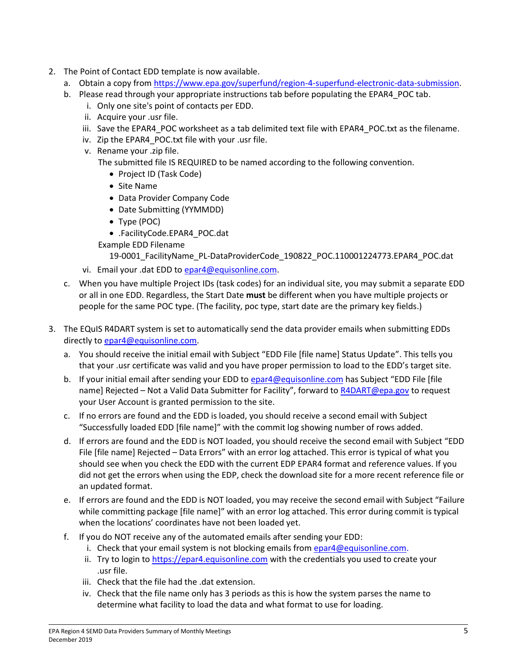- 2. The Point of Contact EDD template is now available.
	- a. Obtain a copy from [https://www.epa.gov/superfund/region-4-superfund-electronic-data-submission.](https://www.epa.gov/superfund/region-4-superfund-electronic-data-submission)
	- b. Please read through your appropriate instructions tab before populating the EPAR4 POC tab.
		- i. Only one site's point of contacts per EDD.
		- ii. Acquire your .usr file.
		- iii. Save the EPAR4 POC worksheet as a tab delimited text file with EPAR4 POC.txt as the filename.
		- iv. Zip the EPAR4 POC.txt file with your .usr file.
		- v. Rename your .zip file. The submitted file IS REQUIRED to be named according to the following convention.
			- Project ID (Task Code)
			- Site Name
			- Data Provider Company Code
			- Date Submitting (YYMMDD)
			- Type (POC)
			- .FacilityCode.EPAR4\_POC.dat
			- Example EDD Filename

19-0001\_FacilityName\_PL-DataProviderCode\_190822\_POC.110001224773.EPAR4\_POC.dat

- vi. Email your .dat EDD to [epar4@equisonline.com.](mailto:epar4@equisonline.com)
- c. When you have multiple Project IDs (task codes) for an individual site, you may submit a separate EDD or all in one EDD. Regardless, the Start Date **must** be different when you have multiple projects or people for the same POC type. (The facility, poc type, start date are the primary key fields.)
- 3. The EQuIS R4DART system is set to automatically send the data provider emails when submitting EDDs directly t[o epar4@equisonline.com.](mailto:epar4@equisonline.com)
	- a. You should receive the initial email with Subject "EDD File [file name] Status Update". This tells you that your .usr certificate was valid and you have proper permission to load to the EDD's target site.
	- b. If your initial email after sending your EDD to [epar4@equisonline.com](mailto:epar4@equisonline.com) has Subject "EDD File [file name] Rejected – Not a Valid Data Submitter for Facility", forward to [R4DART@epa.gov](mailto:R4DART@epa.gov) to request your User Account is granted permission to the site.
	- c. If no errors are found and the EDD is loaded, you should receive a second email with Subject "Successfully loaded EDD [file name]" with the commit log showing number of rows added.
	- d. If errors are found and the EDD is NOT loaded, you should receive the second email with Subject "EDD File [file name] Rejected – Data Errors" with an error log attached. This error is typical of what you should see when you check the EDD with the current EDP EPAR4 format and reference values. If you did not get the errors when using the EDP, check the download site for a more recent reference file or an updated format.
	- e. If errors are found and the EDD is NOT loaded, you may receive the second email with Subject "Failure while committing package [file name]" with an error log attached. This error during commit is typical when the locations' coordinates have not been loaded yet.
	- f. If you do NOT receive any of the automated emails after sending your EDD:
		- i. Check that your email system is not blocking emails from  $e$ par4@equisonline.com.
		- ii. Try to login to [https://epar4.equisonline.com](https://epar4.equisonline.com/) with the credentials you used to create your .usr file.
		- iii. Check that the file had the .dat extension.
		- iv. Check that the file name only has 3 periods as this is how the system parses the name to determine what facility to load the data and what format to use for loading.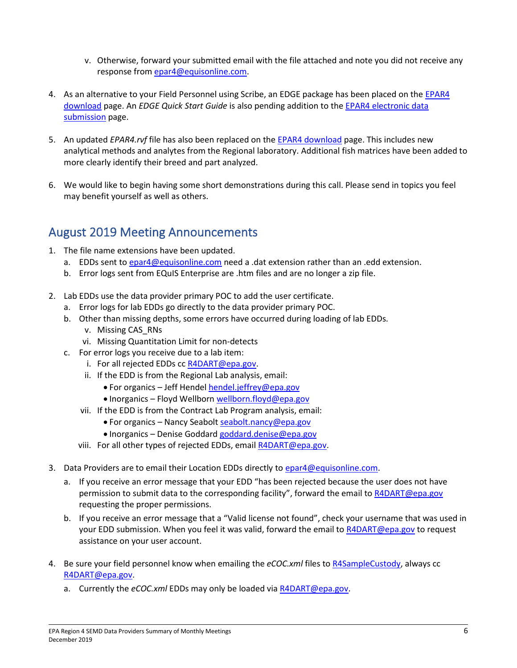- v. Otherwise, forward your submitted email with the file attached and note you did not receive any response fro[m epar4@equisonline.com.](mailto:epar4@equisonline.com)
- 4. As an alternative to your Field Personnel using Scribe, an EDGE package has been placed on the EPAR4 [download](https://earthsoft.com/products/edp/edp-format-for-epar4/) page. An *EDGE Quick Start Guide* is also pending addition to the [EPAR4 electronic data](https://www.epa.gov/superfund/region-4-superfund-electronic-data-submission)  [submission](https://www.epa.gov/superfund/region-4-superfund-electronic-data-submission) page.
- 5. An updated *EPAR4.rvf* file has also been replaced on the [EPAR4 download](https://earthsoft.com/products/edp/edp-format-for-epar4/) page. This includes new analytical methods and analytes from the Regional laboratory. Additional fish matrices have been added to more clearly identify their breed and part analyzed.
- 6. We would like to begin having some short demonstrations during this call. Please send in topics you feel may benefit yourself as well as others.

# August 2019 Meeting Announcements

- 1. The file name extensions have been updated.
	- a. EDDs sent to [epar4@equisonline.com](mailto:epar4@equisonline.com) need a .dat extension rather than an .edd extension.
	- b. Error logs sent from EQuIS Enterprise are .htm files and are no longer a zip file.
- 2. Lab EDDs use the data provider primary POC to add the user certificate.
	- a. Error logs for lab EDDs go directly to the data provider primary POC.
	- b. Other than missing depths, some errors have occurred during loading of lab EDDs. v. Missing CAS\_RNs
		- vi. Missing Quantitation Limit for non-detects
	- c. For error logs you receive due to a lab item:
		- i. For all rejected EDDs cc [R4DART@epa.gov.](mailto:R4DART@epa.gov)
		- ii. If the EDD is from the Regional Lab analysis, email:
			- For organics Jeff Hendel [hendel.jeffrey@epa.gov](mailto:hendel.jeffrey@epa.gov)
			- Inorganics Floyd Wellbor[n wellborn.floyd@epa.gov](mailto:wellborn.floyd@epa.gov)
		- vii. If the EDD is from the Contract Lab Program analysis, email:
			- For organics Nancy Seabolt [seabolt.nancy@epa.gov](mailto:Seabolt.nancy@epa.gov)
			- Inorganics Denise Goddard [goddard.denise@epa.gov](mailto:goddard.denise@epa.gov)
		- viii. For all other types of rejected EDDs, emai[l R4DART@epa.gov.](mailto:R4DART@epa.gov)
- 3. Data Providers are to email their Location EDDs directly to [epar4@equisonline.com.](mailto:epar4@equisonline.com)
	- a. If you receive an error message that your EDD "has been rejected because the user does not have permission to submit data to the corresponding facility", forward the email t[o R4DART@epa.gov](mailto:R4DART@epa.gov) requesting the proper permissions.
	- b. If you receive an error message that a "Valid license not found", check your username that was used in your EDD submission. When you feel it was valid, forward the email to [R4DART@epa.gov](mailto:R4DART@epa.gov) to request assistance on your user account.
- 4. Be sure your field personnel know when emailing the *eCOC.xml* files to [R4SampleCustody,](mailto:R4SampleCustody@epa.gov) always cc [R4DART@epa.gov.](mailto:R4DART@epa.gov)
	- a. Currently the *eCOC.xml* EDDs may only be loaded vi[a R4DART@epa.gov.](mailto:R4DART@epa.gov)